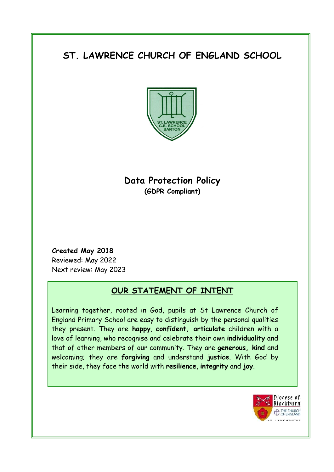# **ST. LAWRENCE CHURCH OF ENGLAND SCHOOL**



## **Data Protection Policy (GDPR Compliant)**

**Created May 2018** Reviewed: May 2022 Next review: May 2023

### **OUR STATEMENT OF INTENT**

Learning together, rooted in God, pupils at St Lawrence Church of England Primary School are easy to distinguish by the personal qualities they present. They are **happy**, **confident, articulate** children with a love of learning, who recognise and celebrate their own **individuality** and that of other members of our community. They are **generous, kind** and welcoming; they are **forgiving** and understand **justice**. With God by their side, they face the world with **resilience**, **integrity** and **joy**.

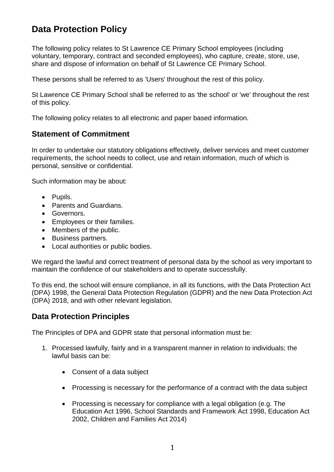## **Data Protection Policy**

The following policy relates to St Lawrence CE Primary School employees (including voluntary, temporary, contract and seconded employees), who capture, create, store, use, share and dispose of information on behalf of St Lawrence CE Primary School.

These persons shall be referred to as 'Users' throughout the rest of this policy.

St Lawrence CE Primary School shall be referred to as 'the school' or 'we' throughout the rest of this policy.

The following policy relates to all electronic and paper based information.

#### **Statement of Commitment**

In order to undertake our statutory obligations effectively, deliver services and meet customer requirements, the school needs to collect, use and retain information, much of which is personal, sensitive or confidential.

Such information may be about:

- Pupils.
- Parents and Guardians.
- **•** Governors.
- Employees or their families.
- Members of the public.
- Business partners.
- Local authorities or public bodies.

We regard the lawful and correct treatment of personal data by the school as very important to maintain the confidence of our stakeholders and to operate successfully.

To this end, the school will ensure compliance, in all its functions, with the Data Protection Act (DPA) 1998, the General Data Protection Regulation (GDPR) and the new Data Protection Act (DPA) 2018, and with other relevant legislation.

#### **Data Protection Principles**

The Principles of DPA and GDPR state that personal information must be:

- 1. Processed lawfully, fairly and in a transparent manner in relation to individuals; the lawful basis can be:
	- Consent of a data subject
	- Processing is necessary for the performance of a contract with the data subject
	- Processing is necessary for compliance with a legal obligation (e.g. The Education Act 1996, School Standards and Framework Act 1998, Education Act 2002, Children and Families Act 2014)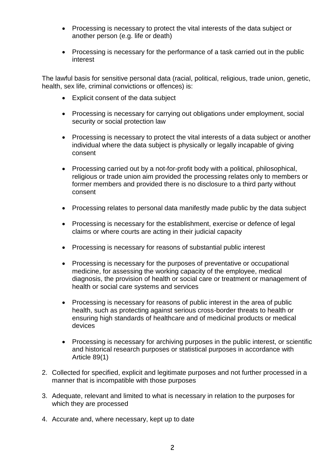- Processing is necessary to protect the vital interests of the data subject or another person (e.g. life or death)
- Processing is necessary for the performance of a task carried out in the public interest

The lawful basis for sensitive personal data (racial, political, religious, trade union, genetic, health, sex life, criminal convictions or offences) is:

- Explicit consent of the data subject
- Processing is necessary for carrying out obligations under employment, social security or social protection law
- Processing is necessary to protect the vital interests of a data subject or another individual where the data subject is physically or legally incapable of giving consent
- Processing carried out by a not-for-profit body with a political, philosophical, religious or trade union aim provided the processing relates only to members or former members and provided there is no disclosure to a third party without consent
- Processing relates to personal data manifestly made public by the data subject
- Processing is necessary for the establishment, exercise or defence of legal claims or where courts are acting in their judicial capacity
- Processing is necessary for reasons of substantial public interest
- Processing is necessary for the purposes of preventative or occupational medicine, for assessing the working capacity of the employee, medical diagnosis, the provision of health or social care or treatment or management of health or social care systems and services
- Processing is necessary for reasons of public interest in the area of public health, such as protecting against serious cross-border threats to health or ensuring high standards of healthcare and of medicinal products or medical devices
- Processing is necessary for archiving purposes in the public interest, or scientific and historical research purposes or statistical purposes in accordance with Article 89(1)
- 2. Collected for specified, explicit and legitimate purposes and not further processed in a manner that is incompatible with those purposes
- 3. Adequate, relevant and limited to what is necessary in relation to the purposes for which they are processed
- 4. Accurate and, where necessary, kept up to date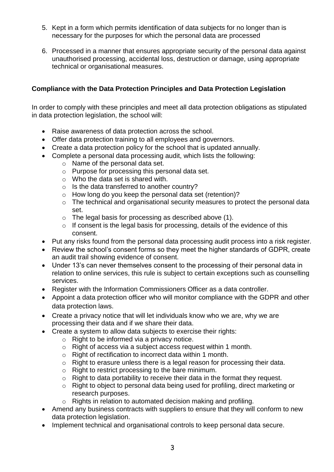- 5. Kept in a form which permits identification of data subjects for no longer than is necessary for the purposes for which the personal data are processed
- 6. Processed in a manner that ensures appropriate security of the personal data against unauthorised processing, accidental loss, destruction or damage, using appropriate technical or organisational measures.

#### **Compliance with the Data Protection Principles and Data Protection Legislation**

In order to comply with these principles and meet all data protection obligations as stipulated in data protection legislation, the school will:

- Raise awareness of data protection across the school.
- Offer data protection training to all employees and governors.
- Create a data protection policy for the school that is updated annually.
- Complete a personal data processing audit, which lists the following:
	- o Name of the personal data set.
	- o Purpose for processing this personal data set.
	- o Who the data set is shared with.
	- o Is the data transferred to another country?
	- o How long do you keep the personal data set (retention)?
	- o The technical and organisational security measures to protect the personal data set.
	- o The legal basis for processing as described above (1).
	- o If consent is the legal basis for processing, details of the evidence of this consent.
- Put any risks found from the personal data processing audit process into a risk register.
- Review the school's consent forms so they meet the higher standards of GDPR, create an audit trail showing evidence of consent.
- Under 13's can never themselves consent to the processing of their personal data in relation to online services, this rule is subject to certain exceptions such as counselling services.
- Register with the Information Commissioners Officer as a data controller.
- Appoint a data protection officer who will monitor compliance with the GDPR and other data protection laws.
- Create a privacy notice that will let individuals know who we are, why we are processing their data and if we share their data.
- Create a system to allow data subjects to exercise their rights:
	- $\circ$  Right to be informed via a privacy notice.
	- o Right of access via a subject access request within 1 month.
	- o Right of rectification to incorrect data within 1 month.
	- o Right to erasure unless there is a legal reason for processing their data.
	- o Right to restrict processing to the bare minimum.
	- o Right to data portability to receive their data in the format they request.
	- o Right to object to personal data being used for profiling, direct marketing or research purposes.
	- o Rights in relation to automated decision making and profiling.
- Amend any business contracts with suppliers to ensure that they will conform to new data protection legislation.
- Implement technical and organisational controls to keep personal data secure.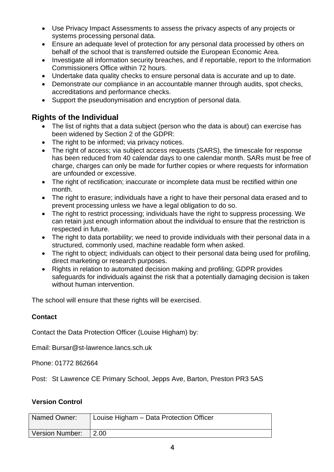- Use Privacy Impact Assessments to assess the privacy aspects of any projects or systems processing personal data.
- Ensure an adequate level of protection for any personal data processed by others on behalf of the school that is transferred outside the European Economic Area.
- Investigate all information security breaches, and if reportable, report to the Information Commissioners Office within 72 hours.
- Undertake data quality checks to ensure personal data is accurate and up to date.
- Demonstrate our compliance in an accountable manner through audits, spot checks, accreditations and performance checks.
- Support the pseudonymisation and encryption of personal data.

#### **Rights of the Individual**

- The list of rights that a data subject (person who the data is about) can exercise has been widened by Section 2 of the GDPR:
- The right to be informed; via privacy notices.
- The right of access; via subject access requests (SARS), the timescale for response has been reduced from 40 calendar days to one calendar month. SARs must be free of charge, charges can only be made for further copies or where requests for information are unfounded or excessive.
- The right of rectification; inaccurate or incomplete data must be rectified within one month.
- The right to erasure; individuals have a right to have their personal data erased and to prevent processing unless we have a legal obligation to do so.
- The right to restrict processing: individuals have the right to suppress processing. We can retain just enough information about the individual to ensure that the restriction is respected in future.
- The right to data portability; we need to provide individuals with their personal data in a structured, commonly used, machine readable form when asked.
- The right to object; individuals can object to their personal data being used for profiling, direct marketing or research purposes.
- Rights in relation to automated decision making and profiling; GDPR provides safeguards for individuals against the risk that a potentially damaging decision is taken without human intervention.

The school will ensure that these rights will be exercised.

#### **Contact**

Contact the Data Protection Officer (Louise Higham) by:

Email: Bursar@st-lawrence.lancs.sch.uk

Phone: 01772 862664

Post: St Lawrence CE Primary School, Jepps Ave, Barton, Preston PR3 5AS

#### **Version Control**

| Named Owner:           | Louise Higham - Data Protection Officer |
|------------------------|-----------------------------------------|
| Version Number:   2.00 |                                         |